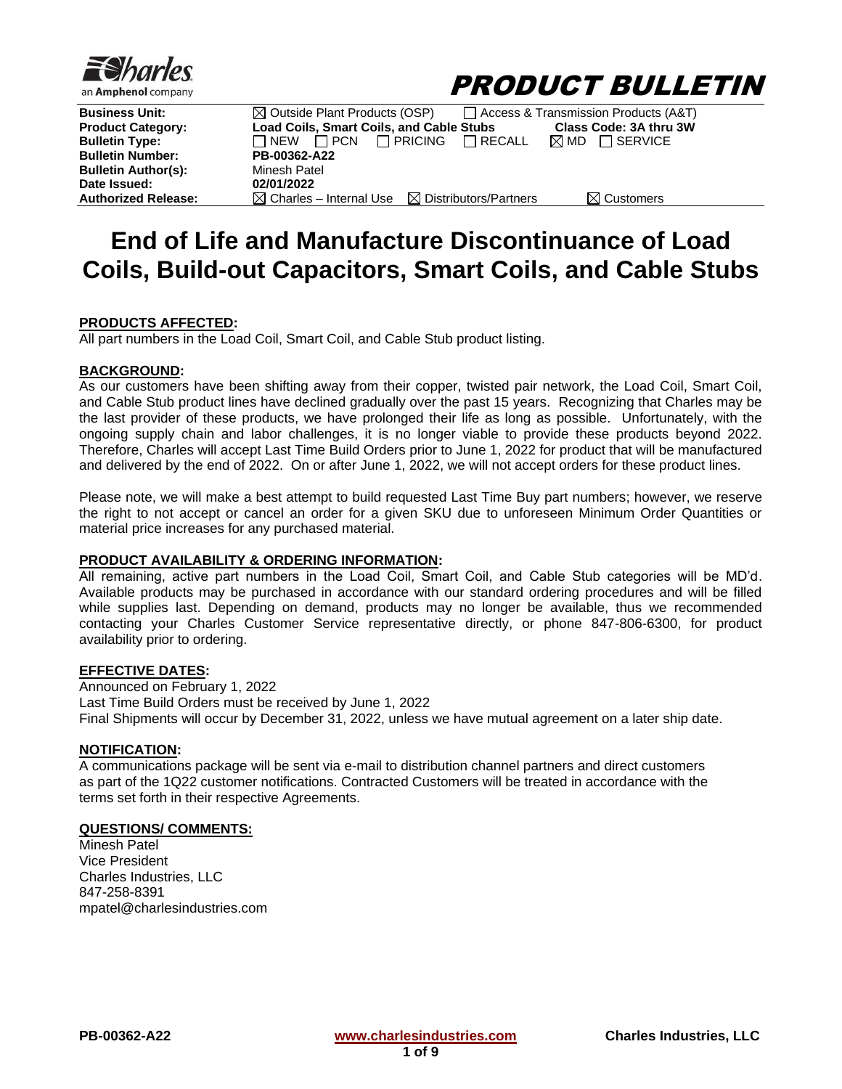



| Business Unit:           | $\boxtimes$ Outside Plant Products (OSP)                             |                                 | Access & Transmission Products (A&T) |
|--------------------------|----------------------------------------------------------------------|---------------------------------|--------------------------------------|
| <b>Product Category:</b> | Load Coils, Smart Coils, and Cable Stubs                             |                                 | Class Code: 3A thru 3W               |
| <b>Bulletin Type:</b>    | $\Box$ NEW $\Box$ PCN                                                | $\Box$ PRICING<br>$\Box$ RECALL | $\boxtimes$ MD<br>$\Box$ SERVICE     |
| <b>Bulletin Number:</b>  | PB-00362-A22                                                         |                                 |                                      |
| Bulletin Author(s):      | Minesh Patel                                                         |                                 |                                      |
| Date Issued:             | 02/01/2022                                                           |                                 |                                      |
| Authorized Release:      | $\boxtimes$ Charles – Internal Use $\boxtimes$ Distributors/Partners |                                 | $\boxtimes$ Customers                |
|                          |                                                                      |                                 |                                      |

# **End of Life and Manufacture Discontinuance of Load Coils, Build-out Capacitors, Smart Coils, and Cable Stubs**

#### **PRODUCTS AFFECTED:**

All part numbers in the Load Coil, Smart Coil, and Cable Stub product listing.

#### **BACKGROUND:**

As our customers have been shifting away from their copper, twisted pair network, the Load Coil, Smart Coil, and Cable Stub product lines have declined gradually over the past 15 years. Recognizing that Charles may be the last provider of these products, we have prolonged their life as long as possible. Unfortunately, with the ongoing supply chain and labor challenges, it is no longer viable to provide these products beyond 2022. Therefore, Charles will accept Last Time Build Orders prior to June 1, 2022 for product that will be manufactured and delivered by the end of 2022. On or after June 1, 2022, we will not accept orders for these product lines.

Please note, we will make a best attempt to build requested Last Time Buy part numbers; however, we reserve the right to not accept or cancel an order for a given SKU due to unforeseen Minimum Order Quantities or material price increases for any purchased material.

#### **PRODUCT AVAILABILITY & ORDERING INFORMATION:**

All remaining, active part numbers in the Load Coil, Smart Coil, and Cable Stub categories will be MD'd. Available products may be purchased in accordance with our standard ordering procedures and will be filled while supplies last. Depending on demand, products may no longer be available, thus we recommended contacting your Charles Customer Service representative directly, or phone 847-806-6300, for product availability prior to ordering.

#### **EFFECTIVE DATES:**

Announced on February 1, 2022 Last Time Build Orders must be received by June 1, 2022 Final Shipments will occur by December 31, 2022, unless we have mutual agreement on a later ship date.

#### **NOTIFICATION:**

A communications package will be sent via e-mail to distribution channel partners and direct customers as part of the 1Q22 customer notifications. Contracted Customers will be treated in accordance with the terms set forth in their respective Agreements.

#### **QUESTIONS/ COMMENTS:**

Minesh Patel Vice President Charles Industries, LLC 847-258-8391 mpatel@charlesindustries.com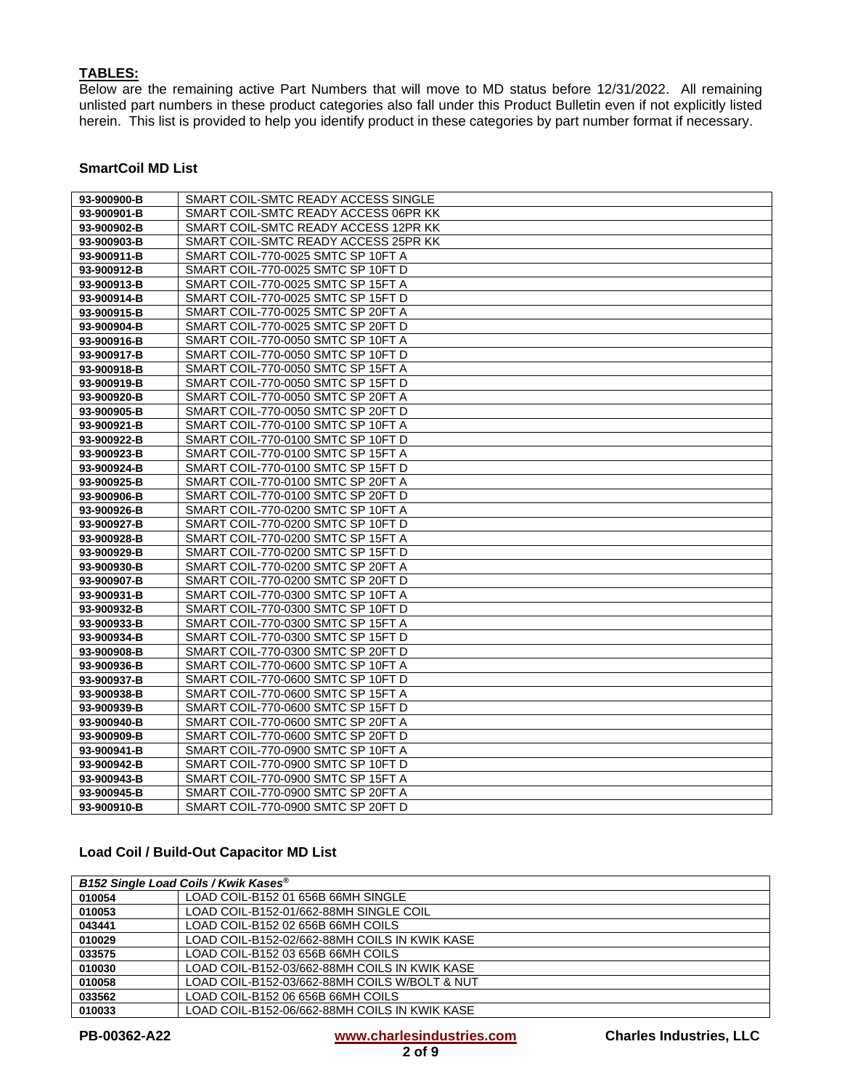# **TABLES:**

Below are the remaining active Part Numbers that will move to MD status before 12/31/2022. All remaining unlisted part numbers in these product categories also fall under this Product Bulletin even if not explicitly listed herein. This list is provided to help you identify product in these categories by part number format if necessary.

# **SmartCoil MD List**

| 93-900900-B | SMART COIL-SMTC READY ACCESS SINGLE  |
|-------------|--------------------------------------|
| 93-900901-B | SMART COIL-SMTC READY ACCESS 06PR KK |
| 93-900902-B | SMART COIL-SMTC READY ACCESS 12PR KK |
| 93-900903-B | SMART COIL-SMTC READY ACCESS 25PR KK |
| 93-900911-B | SMART COIL-770-0025 SMTC SP 10FT A   |
| 93-900912-B | SMART COIL-770-0025 SMTC SP 10FT D   |
| 93-900913-B | SMART COIL-770-0025 SMTC SP 15FT A   |
| 93-900914-B | SMART COIL-770-0025 SMTC SP 15FT D   |
| 93-900915-B | SMART COIL-770-0025 SMTC SP 20FT A   |
| 93-900904-B | SMART COIL-770-0025 SMTC SP 20FT D   |
| 93-900916-B | SMART COIL-770-0050 SMTC SP 10FT A   |
| 93-900917-B | SMART COIL-770-0050 SMTC SP 10FT D   |
| 93-900918-B | SMART COIL-770-0050 SMTC SP 15FT A   |
| 93-900919-B | SMART COIL-770-0050 SMTC SP 15FT D   |
| 93-900920-B | SMART COIL-770-0050 SMTC SP 20FT A   |
| 93-900905-B | SMART COIL-770-0050 SMTC SP 20FT D   |
| 93-900921-B | SMART COIL-770-0100 SMTC SP 10FT A   |
| 93-900922-B | SMART COIL-770-0100 SMTC SP 10FT D   |
| 93-900923-B | SMART COIL-770-0100 SMTC SP 15FT A   |
| 93-900924-B | SMART COIL-770-0100 SMTC SP 15FT D   |
| 93-900925-B | SMART COIL-770-0100 SMTC SP 20FT A   |
| 93-900906-B | SMART COIL-770-0100 SMTC SP 20FT D   |
| 93-900926-B | SMART COIL-770-0200 SMTC SP 10FT A   |
| 93-900927-B | SMART COIL-770-0200 SMTC SP 10FT D   |
| 93-900928-B | SMART COIL-770-0200 SMTC SP 15FT A   |
| 93-900929-B | SMART COIL-770-0200 SMTC SP 15FT D   |
| 93-900930-B | SMART COIL-770-0200 SMTC SP 20FT A   |
| 93-900907-B | SMART COIL-770-0200 SMTC SP 20FT D   |
| 93-900931-B | SMART COIL-770-0300 SMTC SP 10FT A   |
| 93-900932-B | SMART COIL-770-0300 SMTC SP 10FT D   |
| 93-900933-B | SMART COIL-770-0300 SMTC SP 15FT A   |
| 93-900934-B | SMART COIL-770-0300 SMTC SP 15FT D   |
| 93-900908-B | SMART COIL-770-0300 SMTC SP 20FT D   |
| 93-900936-B | SMART COIL-770-0600 SMTC SP 10FT A   |
| 93-900937-B | SMART COIL-770-0600 SMTC SP 10FT D   |
| 93-900938-B | SMART COIL-770-0600 SMTC SP 15FT A   |
| 93-900939-B | SMART COIL-770-0600 SMTC SP 15FT D   |
| 93-900940-B | SMART COIL-770-0600 SMTC SP 20FT A   |
| 93-900909-B | SMART COIL-770-0600 SMTC SP 20FT D   |
| 93-900941-B | SMART COIL-770-0900 SMTC SP 10FT A   |
| 93-900942-B | SMART COIL-770-0900 SMTC SP 10FT D   |
| 93-900943-B | SMART COIL-770-0900 SMTC SP 15FT A   |
| 93-900945-B | SMART COIL-770-0900 SMTC SP 20FT A   |
| 93-900910-B | SMART COIL-770-0900 SMTC SP 20FT D   |

## **Load Coil / Build-Out Capacitor MD List**

| B152 Single Load Coils / Kwik Kases® |                                               |
|--------------------------------------|-----------------------------------------------|
| 010054                               | LOAD COIL-B152 01 656B 66MH SINGLE            |
| 010053                               | LOAD COIL-B152-01/662-88MH SINGLE COIL        |
| 043441                               | LOAD COIL-B152 02 656B 66MH COILS             |
| 010029                               | LOAD COIL-B152-02/662-88MH COILS IN KWIK KASE |
| 033575                               | LOAD COIL-B152 03 656B 66MH COILS             |
| 010030                               | LOAD COIL-B152-03/662-88MH COILS IN KWIK KASE |
| 010058                               | LOAD COIL-B152-03/662-88MH COILS W/BOLT & NUT |
| 033562                               | LOAD COIL-B152 06 656B 66MH COILS             |
| 010033                               | LOAD COIL-B152-06/662-88MH COILS IN KWIK KASE |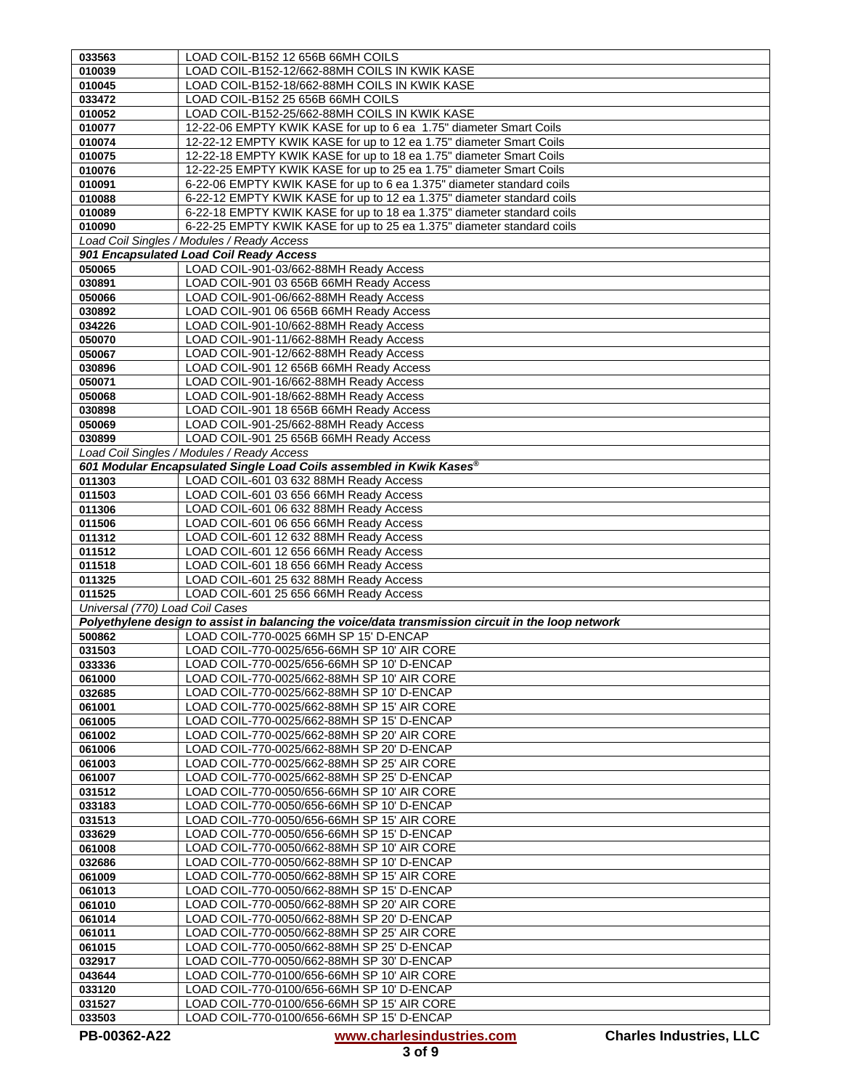| 033563                          | LOAD COIL-B152 12 656B 66MH COILS                                                                  |
|---------------------------------|----------------------------------------------------------------------------------------------------|
| 010039                          | LOAD COIL-B152-12/662-88MH COILS IN KWIK KASE                                                      |
| 010045                          | LOAD COIL-B152-18/662-88MH COILS IN KWIK KASE                                                      |
| 033472                          | LOAD COIL-B152 25 656B 66MH COILS                                                                  |
| 010052                          | LOAD COIL-B152-25/662-88MH COILS IN KWIK KASE                                                      |
| 010077                          | 12-22-06 EMPTY KWIK KASE for up to 6 ea 1.75" diameter Smart Coils                                 |
| 010074                          | 12-22-12 EMPTY KWIK KASE for up to 12 ea 1.75" diameter Smart Coils                                |
| 010075                          | 12-22-18 EMPTY KWIK KASE for up to 18 ea 1.75" diameter Smart Coils                                |
| 010076                          | 12-22-25 EMPTY KWIK KASE for up to 25 ea 1.75" diameter Smart Coils                                |
| 010091                          | 6-22-06 EMPTY KWIK KASE for up to 6 ea 1.375" diameter standard coils                              |
| 010088                          | 6-22-12 EMPTY KWIK KASE for up to 12 ea 1.375" diameter standard coils                             |
| 010089                          | 6-22-18 EMPTY KWIK KASE for up to 18 ea 1.375" diameter standard coils                             |
| 010090                          | 6-22-25 EMPTY KWIK KASE for up to 25 ea 1.375" diameter standard coils                             |
|                                 | Load Coil Singles / Modules / Ready Access                                                         |
|                                 | 901 Encapsulated Load Coil Ready Access                                                            |
| 050065                          | LOAD COIL-901-03/662-88MH Ready Access                                                             |
| 030891                          | LOAD COIL-901 03 656B 66MH Ready Access                                                            |
| 050066                          | LOAD COIL-901-06/662-88MH Ready Access                                                             |
| 030892                          | LOAD COIL-901 06 656B 66MH Ready Access                                                            |
| 034226                          | LOAD COIL-901-10/662-88MH Ready Access                                                             |
| 050070                          | LOAD COIL-901-11/662-88MH Ready Access                                                             |
| 050067                          | LOAD COIL-901-12/662-88MH Ready Access                                                             |
| 030896                          | LOAD COIL-901 12 656B 66MH Ready Access                                                            |
| 050071                          | LOAD COIL-901-16/662-88MH Ready Access                                                             |
| 050068                          | LOAD COIL-901-18/662-88MH Ready Access                                                             |
| 030898                          | LOAD COIL-901 18 656B 66MH Ready Access                                                            |
| 050069                          | LOAD COIL-901-25/662-88MH Ready Access                                                             |
| 030899                          | LOAD COIL-901 25 656B 66MH Ready Access                                                            |
|                                 | Load Coil Singles / Modules / Ready Access                                                         |
|                                 | 601 Modular Encapsulated Single Load Coils assembled in Kwik Kases®                                |
| 011303                          | LOAD COIL-601 03 632 88MH Ready Access                                                             |
| 011503                          | LOAD COIL-601 03 656 66MH Ready Access                                                             |
| 011306                          | LOAD COIL-601 06 632 88MH Ready Access                                                             |
| 011506                          | LOAD COIL-601 06 656 66MH Ready Access                                                             |
| 011312<br>011512                | LOAD COIL-601 12 632 88MH Ready Access<br>LOAD COIL-601 12 656 66MH Ready Access                   |
| 011518                          | LOAD COIL-601 18 656 66MH Ready Access                                                             |
| 011325                          | LOAD COIL-601 25 632 88MH Ready Access                                                             |
| 011525                          | LOAD COIL-601 25 656 66MH Ready Access                                                             |
| Universal (770) Load Coil Cases |                                                                                                    |
|                                 | Polyethylene design to assist in balancing the voice/data transmission circuit in the loop network |
| 500862                          | LOAD COIL-770-0025 66MH SP 15' D-ENCAP                                                             |
| 031503                          | LOAD COIL-770-0025/656-66MH SP 10' AIR CORE                                                        |
| 033336                          | LOAD COIL-770-0025/656-66MH SP 10' D-ENCAP                                                         |
| 061000                          | LOAD COIL-770-0025/662-88MH SP 10' AIR CORE                                                        |
| 032685                          | LOAD COIL-770-0025/662-88MH SP 10' D-ENCAP                                                         |
| 061001                          | LOAD COIL-770-0025/662-88MH SP 15' AIR CORE                                                        |
| 061005                          | LOAD COIL-770-0025/662-88MH SP 15' D-ENCAP                                                         |
| 061002                          | LOAD COIL-770-0025/662-88MH SP 20' AIR CORE                                                        |
| 061006                          | LOAD COIL-770-0025/662-88MH SP 20' D-ENCAP                                                         |
| 061003                          | LOAD COIL-770-0025/662-88MH SP 25' AIR CORE                                                        |
| 061007                          | LOAD COIL-770-0025/662-88MH SP 25' D-ENCAP                                                         |
| 031512                          | LOAD COIL-770-0050/656-66MH SP 10' AIR CORE                                                        |
| 033183                          | LOAD COIL-770-0050/656-66MH SP 10' D-ENCAP                                                         |
| 031513                          | LOAD COIL-770-0050/656-66MH SP 15' AIR CORE                                                        |
| 033629                          | LOAD COIL-770-0050/656-66MH SP 15' D-ENCAP                                                         |
| 061008                          | LOAD COIL-770-0050/662-88MH SP 10' AIR CORE<br>LOAD COIL-770-0050/662-88MH SP 10' D-ENCAP          |
| 032686                          |                                                                                                    |
| 061009<br>061013                | LOAD COIL-770-0050/662-88MH SP 15' AIR CORE<br>LOAD COIL-770-0050/662-88MH SP 15' D-ENCAP          |
| 061010                          | LOAD COIL-770-0050/662-88MH SP 20' AIR CORE                                                        |
| 061014                          | LOAD COIL-770-0050/662-88MH SP 20' D-ENCAP                                                         |
| 061011                          | LOAD COIL-770-0050/662-88MH SP 25' AIR CORE                                                        |
| 061015                          | LOAD COIL-770-0050/662-88MH SP 25' D-ENCAP                                                         |
| 032917                          | LOAD COIL-770-0050/662-88MH SP 30' D-ENCAP                                                         |
| 043644                          | LOAD COIL-770-0100/656-66MH SP 10' AIR CORE                                                        |
| 033120                          | LOAD COIL-770-0100/656-66MH SP 10' D-ENCAP                                                         |
| 031527                          | LOAD COIL-770-0100/656-66MH SP 15' AIR CORE                                                        |
| 033503                          | LOAD COIL-770-0100/656-66MH SP 15' D-ENCAP                                                         |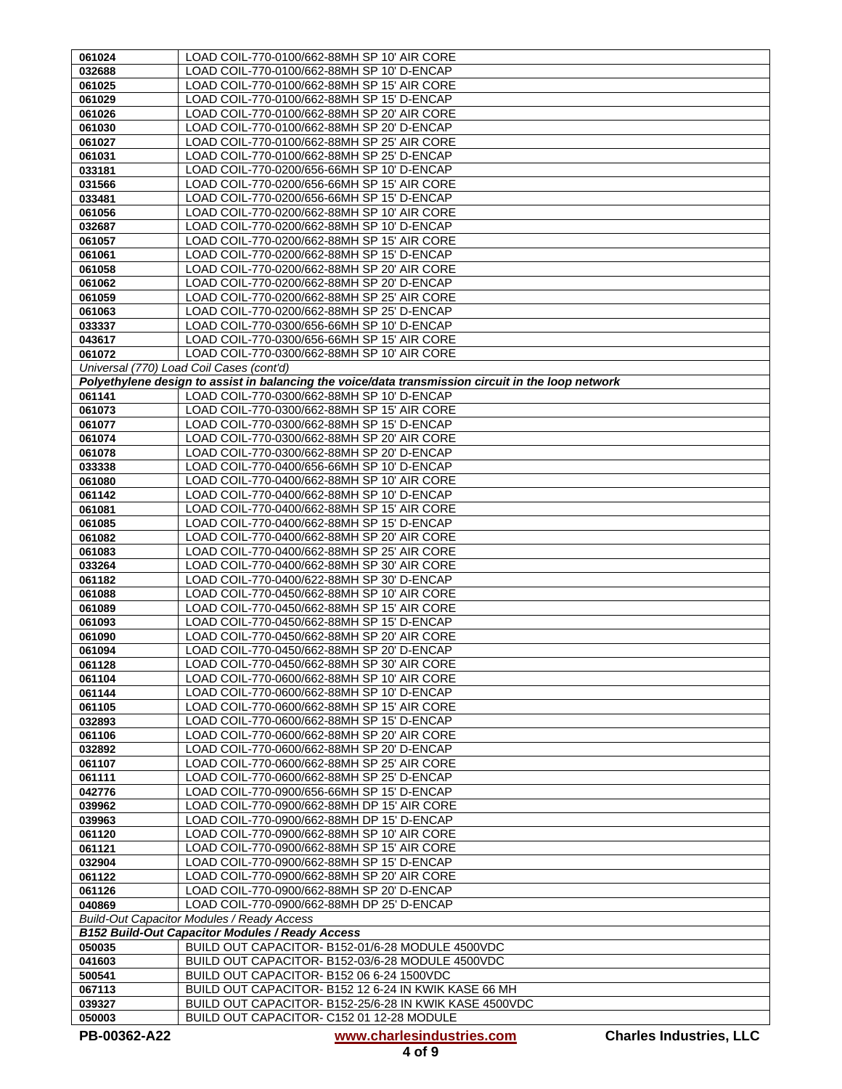| 061024           | LOAD COIL-770-0100/662-88MH SP 10' AIR CORE                                                          |
|------------------|------------------------------------------------------------------------------------------------------|
| 032688           | LOAD COIL-770-0100/662-88MH SP 10' D-ENCAP                                                           |
| 061025           | LOAD COIL-770-0100/662-88MH SP 15' AIR CORE                                                          |
| 061029           | LOAD COIL-770-0100/662-88MH SP 15' D-ENCAP                                                           |
| 061026           | LOAD COIL-770-0100/662-88MH SP 20' AIR CORE                                                          |
| 061030           | LOAD COIL-770-0100/662-88MH SP 20' D-ENCAP                                                           |
| 061027           | LOAD COIL-770-0100/662-88MH SP 25' AIR CORE                                                          |
| 061031           | LOAD COIL-770-0100/662-88MH SP 25' D-ENCAP                                                           |
| 033181           | LOAD COIL-770-0200/656-66MH SP 10' D-ENCAP                                                           |
| 031566           | LOAD COIL-770-0200/656-66MH SP 15' AIR CORE                                                          |
| 033481           | LOAD COIL-770-0200/656-66MH SP 15' D-ENCAP                                                           |
| 061056           | LOAD COIL-770-0200/662-88MH SP 10' AIR CORE                                                          |
| 032687           | LOAD COIL-770-0200/662-88MH SP 10' D-ENCAP                                                           |
| 061057           | LOAD COIL-770-0200/662-88MH SP 15' AIR CORE                                                          |
| 061061           | LOAD COIL-770-0200/662-88MH SP 15' D-ENCAP                                                           |
| 061058           | LOAD COIL-770-0200/662-88MH SP 20' AIR CORE                                                          |
| 061062           | LOAD COIL-770-0200/662-88MH SP 20' D-ENCAP                                                           |
| 061059           | LOAD COIL-770-0200/662-88MH SP 25' AIR CORE                                                          |
| 061063           | LOAD COIL-770-0200/662-88MH SP 25' D-ENCAP                                                           |
| 033337           | LOAD COIL-770-0300/656-66MH SP 10' D-ENCAP                                                           |
| 043617           | LOAD COIL-770-0300/656-66MH SP 15' AIR CORE                                                          |
| 061072           | LOAD COIL-770-0300/662-88MH SP 10' AIR CORE                                                          |
|                  | Universal (770) Load Coil Cases (cont'd)                                                             |
|                  | Polyethylene design to assist in balancing the voice/data transmission circuit in the loop network   |
| 061141           | LOAD COIL-770-0300/662-88MH SP 10' D-ENCAP                                                           |
| 061073           | LOAD COIL-770-0300/662-88MH SP 15' AIR CORE                                                          |
| 061077           | LOAD COIL-770-0300/662-88MH SP 15' D-ENCAP                                                           |
| 061074           | LOAD COIL-770-0300/662-88MH SP 20' AIR CORE                                                          |
| 061078           | LOAD COIL-770-0300/662-88MH SP 20' D-ENCAP                                                           |
| 033338           | LOAD COIL-770-0400/656-66MH SP 10' D-ENCAP                                                           |
| 061080           | LOAD COIL-770-0400/662-88MH SP 10' AIR CORE                                                          |
| 061142           | LOAD COIL-770-0400/662-88MH SP 10' D-ENCAP                                                           |
| 061081           | LOAD COIL-770-0400/662-88MH SP 15' AIR CORE                                                          |
| 061085           | LOAD COIL-770-0400/662-88MH SP 15' D-ENCAP                                                           |
| 061082           | LOAD COIL-770-0400/662-88MH SP 20' AIR CORE                                                          |
| 061083           | LOAD COIL-770-0400/662-88MH SP 25' AIR CORE                                                          |
| 033264           | LOAD COIL-770-0400/662-88MH SP 30' AIR CORE                                                          |
| 061182           | LOAD COIL-770-0400/622-88MH SP 30' D-ENCAP<br>LOAD COIL-770-0450/662-88MH SP 10' AIR CORE            |
| 061088<br>061089 | LOAD COIL-770-0450/662-88MH SP 15' AIR CORE                                                          |
| 061093           | LOAD COIL-770-0450/662-88MH SP 15' D-ENCAP                                                           |
| 061090           | LOAD COIL-770-0450/662-88MH SP 20' AIR CORE                                                          |
| 061094           | LOAD COIL-770-0450/662-88MH SP 20' D-ENCAP                                                           |
| 061128           | LOAD COIL-770-0450/662-88MH SP 30' AIR CORE                                                          |
| 061104           | LOAD COIL-770-0600/662-88MH SP 10' AIR CORE                                                          |
| 061144           | LOAD COIL-770-0600/662-88MH SP 10' D-ENCAP                                                           |
| 061105           | LOAD COIL-770-0600/662-88MH SP 15' AIR CORE                                                          |
| 032893           | LOAD COIL-770-0600/662-88MH SP 15' D-ENCAP                                                           |
| 061106           | LOAD COIL-770-0600/662-88MH SP 20' AIR CORE                                                          |
| 032892           | LOAD COIL-770-0600/662-88MH SP 20' D-ENCAP                                                           |
| 061107           | LOAD COIL-770-0600/662-88MH SP 25' AIR CORE                                                          |
| 061111           | LOAD COIL-770-0600/662-88MH SP 25' D-ENCAP                                                           |
| 042776           | LOAD COIL-770-0900/656-66MH SP 15' D-ENCAP                                                           |
| 039962           | LOAD COIL-770-0900/662-88MH DP 15' AIR CORE                                                          |
| 039963           | LOAD COIL-770-0900/662-88MH DP 15' D-ENCAP                                                           |
| 061120           | LOAD COIL-770-0900/662-88MH SP 10' AIR CORE                                                          |
| 061121           | LOAD COIL-770-0900/662-88MH SP 15' AIR CORE                                                          |
| 032904           | LOAD COIL-770-0900/662-88MH SP 15' D-ENCAP                                                           |
| 061122           | LOAD COIL-770-0900/662-88MH SP 20' AIR CORE                                                          |
| 061126           | LOAD COIL-770-0900/662-88MH SP 20' D-ENCAP                                                           |
| 040869           | LOAD COIL-770-0900/662-88MH DP 25' D-ENCAP                                                           |
|                  | <b>Build-Out Capacitor Modules / Ready Access</b>                                                    |
|                  | <b>B152 Build-Out Capacitor Modules / Ready Access</b>                                               |
| 050035<br>041603 | BUILD OUT CAPACITOR- B152-01/6-28 MODULE 4500VDC<br>BUILD OUT CAPACITOR- B152-03/6-28 MODULE 4500VDC |
|                  | BUILD OUT CAPACITOR- B152 06 6-24 1500VDC                                                            |
| 500541<br>067113 | BUILD OUT CAPACITOR- B152 12 6-24 IN KWIK KASE 66 MH                                                 |
| 039327           | BUILD OUT CAPACITOR- B152-25/6-28 IN KWIK KASE 4500VDC                                               |
| 050003           | BUILD OUT CAPACITOR- C152 01 12-28 MODULE                                                            |
|                  |                                                                                                      |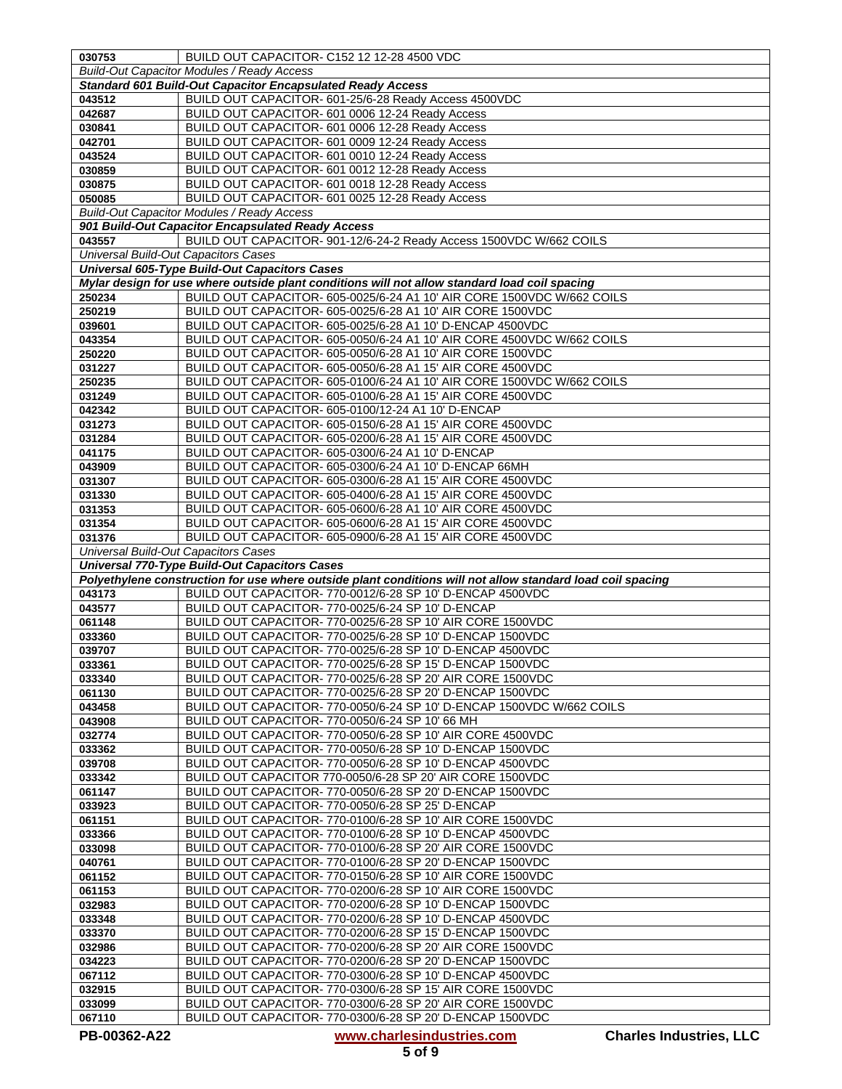| 030753                                                | BUILD OUT CAPACITOR- C152 12 12-28 4500 VDC                                                                           |
|-------------------------------------------------------|-----------------------------------------------------------------------------------------------------------------------|
|                                                       | <b>Build-Out Capacitor Modules / Ready Access</b>                                                                     |
|                                                       | <b>Standard 601 Build-Out Capacitor Encapsulated Ready Access</b>                                                     |
| 043512                                                | BUILD OUT CAPACITOR- 601-25/6-28 Ready Access 4500VDC                                                                 |
| 042687                                                | BUILD OUT CAPACITOR- 601 0006 12-24 Ready Access                                                                      |
| 030841                                                | BUILD OUT CAPACITOR- 601 0006 12-28 Ready Access                                                                      |
| 042701                                                | BUILD OUT CAPACITOR- 601 0009 12-24 Ready Access                                                                      |
| 043524                                                | BUILD OUT CAPACITOR- 601 0010 12-24 Ready Access                                                                      |
| 030859                                                | BUILD OUT CAPACITOR- 601 0012 12-28 Ready Access                                                                      |
| 030875                                                | BUILD OUT CAPACITOR- 601 0018 12-28 Ready Access                                                                      |
| 050085                                                | BUILD OUT CAPACITOR- 601 0025 12-28 Ready Access                                                                      |
|                                                       | <b>Build-Out Capacitor Modules / Ready Access</b><br>901 Build-Out Capacitor Encapsulated Ready Access                |
| 043557                                                | BUILD OUT CAPACITOR- 901-12/6-24-2 Ready Access 1500VDC W/662 COILS                                                   |
| <b>Universal Build-Out Capacitors Cases</b>           |                                                                                                                       |
|                                                       | <b>Universal 605-Type Build-Out Capacitors Cases</b>                                                                  |
|                                                       | Mylar design for use where outside plant conditions will not allow standard load coil spacing                         |
| 250234                                                | BUILD OUT CAPACITOR- 605-0025/6-24 A1 10' AIR CORE 1500VDC W/662 COILS                                                |
| 250219                                                | BUILD OUT CAPACITOR- 605-0025/6-28 A1 10' AIR CORE 1500VDC                                                            |
| 039601                                                | BUILD OUT CAPACITOR- 605-0025/6-28 A1 10' D-ENCAP 4500VDC                                                             |
| 043354                                                | BUILD OUT CAPACITOR- 605-0050/6-24 A1 10' AIR CORE 4500VDC W/662 COILS                                                |
| 250220                                                | BUILD OUT CAPACITOR- 605-0050/6-28 A1 10' AIR CORE 1500VDC                                                            |
| 031227                                                | BUILD OUT CAPACITOR- 605-0050/6-28 A1 15' AIR CORE 4500VDC                                                            |
| 250235                                                | BUILD OUT CAPACITOR- 605-0100/6-24 A1 10' AIR CORE 1500VDC W/662 COILS                                                |
| 031249                                                | BUILD OUT CAPACITOR- 605-0100/6-28 A1 15' AIR CORE 4500VDC                                                            |
| 042342                                                | BUILD OUT CAPACITOR- 605-0100/12-24 A1 10' D-ENCAP                                                                    |
| 031273                                                | BUILD OUT CAPACITOR- 605-0150/6-28 A1 15' AIR CORE 4500VDC                                                            |
| 031284                                                | BUILD OUT CAPACITOR- 605-0200/6-28 A1 15' AIR CORE 4500VDC                                                            |
| 041175                                                | BUILD OUT CAPACITOR- 605-0300/6-24 A1 10' D-ENCAP                                                                     |
| 043909                                                | BUILD OUT CAPACITOR- 605-0300/6-24 A1 10' D-ENCAP 66MH                                                                |
| 031307                                                | BUILD OUT CAPACITOR- 605-0300/6-28 A1 15' AIR CORE 4500VDC                                                            |
| 031330                                                | BUILD OUT CAPACITOR- 605-0400/6-28 A1 15' AIR CORE 4500VDC                                                            |
| 031353                                                | BUILD OUT CAPACITOR- 605-0600/6-28 A1 10' AIR CORE 4500VDC                                                            |
| 031354                                                | BUILD OUT CAPACITOR- 605-0600/6-28 A1 15' AIR CORE 4500VDC                                                            |
| 031376<br><b>Universal Build-Out Capacitors Cases</b> | BUILD OUT CAPACITOR- 605-0900/6-28 A1 15' AIR CORE 4500VDC                                                            |
|                                                       | <b>Universal 770-Type Build-Out Capacitors Cases</b>                                                                  |
|                                                       | Polyethylene construction for use where outside plant conditions will not allow standard load coil spacing            |
| 043173                                                | BUILD OUT CAPACITOR- 770-0012/6-28 SP 10' D-ENCAP 4500VDC                                                             |
| 043577                                                | BUILD OUT CAPACITOR- 770-0025/6-24 SP 10' D-ENCAP                                                                     |
| 061148                                                | BUILD OUT CAPACITOR- 770-0025/6-28 SP 10' AIR CORE 1500VDC                                                            |
| 033360                                                | BUILD OUT CAPACITOR-770-0025/6-28 SP 10' D-ENCAP 1500VDC                                                              |
| 039707                                                | BUILD OUT CAPACITOR- 770-0025/6-28 SP 10' D-ENCAP 4500VDC                                                             |
| 033361                                                | BUILD OUT CAPACITOR-770-0025/6-28 SP 15' D-ENCAP 1500VDC                                                              |
| 033340                                                | BUILD OUT CAPACITOR-770-0025/6-28 SP 20' AIR CORE 1500VDC                                                             |
| 061130                                                | BUILD OUT CAPACITOR-770-0025/6-28 SP 20' D-ENCAP 1500VDC                                                              |
| 043458                                                | BUILD OUT CAPACITOR- 770-0050/6-24 SP 10' D-ENCAP 1500VDC W/662 COILS                                                 |
| 043908                                                | BUILD OUT CAPACITOR- 770-0050/6-24 SP 10' 66 MH                                                                       |
| 032774                                                | BUILD OUT CAPACITOR- 770-0050/6-28 SP 10' AIR CORE 4500VDC                                                            |
| 033362                                                | BUILD OUT CAPACITOR-770-0050/6-28 SP 10' D-ENCAP 1500VDC                                                              |
| 039708                                                | BUILD OUT CAPACITOR-770-0050/6-28 SP 10' D-ENCAP 4500VDC<br>BUILD OUT CAPACITOR 770-0050/6-28 SP 20' AIR CORE 1500VDC |
| 033342                                                | BUILD OUT CAPACITOR- 770-0050/6-28 SP 20' D-ENCAP 1500VDC                                                             |
| 061147<br>033923                                      | BUILD OUT CAPACITOR- 770-0050/6-28 SP 25' D-ENCAP                                                                     |
| 061151                                                | BUILD OUT CAPACITOR- 770-0100/6-28 SP 10' AIR CORE 1500VDC                                                            |
| 033366                                                | BUILD OUT CAPACITOR-770-0100/6-28 SP 10' D-ENCAP 4500VDC                                                              |
| 033098                                                | BUILD OUT CAPACITOR-770-0100/6-28 SP 20' AIR CORE 1500VDC                                                             |
| 040761                                                | BUILD OUT CAPACITOR-770-0100/6-28 SP 20' D-ENCAP 1500VDC                                                              |
| 061152                                                | BUILD OUT CAPACITOR- 770-0150/6-28 SP 10' AIR CORE 1500VDC                                                            |
| 061153                                                | BUILD OUT CAPACITOR-770-0200/6-28 SP 10' AIR CORE 1500VDC                                                             |
| 032983                                                | BUILD OUT CAPACITOR-770-0200/6-28 SP 10' D-ENCAP 1500VDC                                                              |
| 033348                                                | BUILD OUT CAPACITOR- 770-0200/6-28 SP 10' D-ENCAP 4500VDC                                                             |
| 033370                                                | BUILD OUT CAPACITOR- 770-0200/6-28 SP 15' D-ENCAP 1500VDC                                                             |
| 032986                                                | BUILD OUT CAPACITOR-770-0200/6-28 SP 20' AIR CORE 1500VDC                                                             |
| 034223                                                | BUILD OUT CAPACITOR-770-0200/6-28 SP 20' D-ENCAP 1500VDC                                                              |
| 067112                                                | BUILD OUT CAPACITOR- 770-0300/6-28 SP 10' D-ENCAP 4500VDC                                                             |
| 032915                                                | BUILD OUT CAPACITOR- 770-0300/6-28 SP 15' AIR CORE 1500VDC                                                            |
| 033099                                                | BUILD OUT CAPACITOR- 770-0300/6-28 SP 20' AIR CORE 1500VDC                                                            |
| 067110                                                | BUILD OUT CAPACITOR- 770-0300/6-28 SP 20' D-ENCAP 1500VDC                                                             |

**PB-00362-A22 [www.charlesindustries.com](http://www.charlesindustries.com/) Charles Industries, LLC**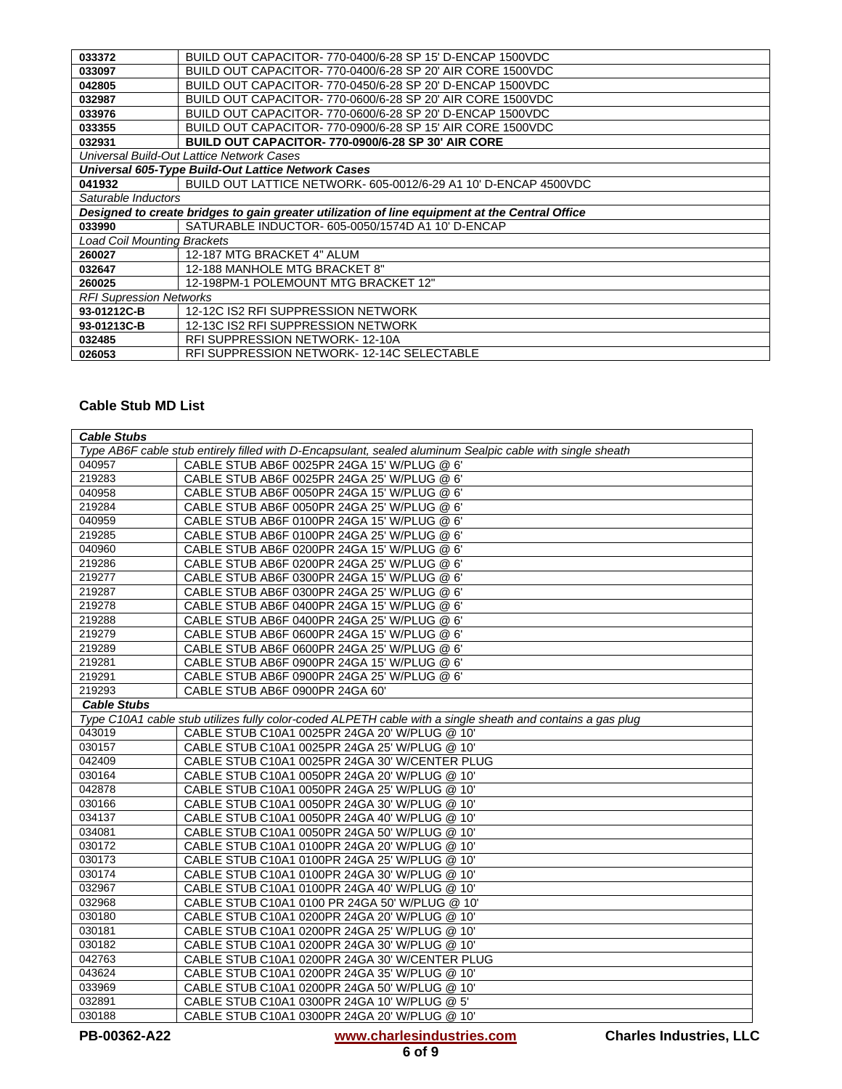| 033372                                                                                         | BUILD OUT CAPACITOR-770-0400/6-28 SP 15' D-ENCAP 1500VDC        |  |  |
|------------------------------------------------------------------------------------------------|-----------------------------------------------------------------|--|--|
| 033097                                                                                         | BUILD OUT CAPACITOR- 770-0400/6-28 SP 20' AIR CORE 1500VDC      |  |  |
| 042805                                                                                         | BUILD OUT CAPACITOR- 770-0450/6-28 SP 20' D-ENCAP 1500VDC       |  |  |
| 032987                                                                                         | BUILD OUT CAPACITOR- 770-0600/6-28 SP 20' AIR CORE 1500VDC      |  |  |
| 033976                                                                                         | BUILD OUT CAPACITOR- 770-0600/6-28 SP 20' D-ENCAP 1500VDC       |  |  |
| 033355                                                                                         | BUILD OUT CAPACITOR- 770-0900/6-28 SP 15' AIR CORE 1500VDC      |  |  |
| 032931                                                                                         | BUILD OUT CAPACITOR-770-0900/6-28 SP 30' AIR CORE               |  |  |
|                                                                                                | Universal Build-Out Lattice Network Cases                       |  |  |
| Universal 605-Type Build-Out Lattice Network Cases                                             |                                                                 |  |  |
| 041932                                                                                         | BUILD OUT LATTICE NETWORK- 605-0012/6-29 A1 10' D-ENCAP 4500VDC |  |  |
| Saturable Inductors                                                                            |                                                                 |  |  |
| Designed to create bridges to gain greater utilization of line equipment at the Central Office |                                                                 |  |  |
| 033990                                                                                         | SATURABLE INDUCTOR- 605-0050/1574D A1 10' D-ENCAP               |  |  |
| <b>Load Coil Mounting Brackets</b>                                                             |                                                                 |  |  |
| 260027                                                                                         | 12-187 MTG BRACKET 4" ALUM                                      |  |  |
| 032647                                                                                         | 12-188 MANHOLE MTG BRACKET 8"                                   |  |  |
| 260025                                                                                         | 12-198PM-1 POLEMOUNT MTG BRACKET 12"                            |  |  |
| <b>RFI Supression Networks</b>                                                                 |                                                                 |  |  |
| 93-01212C-B                                                                                    | 12-12C IS2 RFI SUPPRESSION NETWORK                              |  |  |
| 93-01213C-B                                                                                    | 12-13C IS2 RFI SUPPRESSION NETWORK                              |  |  |
| 032485                                                                                         | RFI SUPPRESSION NETWORK-12-10A                                  |  |  |
| 026053                                                                                         | RFI SUPPRESSION NETWORK-12-14C SELECTABLE                       |  |  |

## **Cable Stub MD List**

| <b>Cable Stubs</b>                                                                                        |                                                                                                            |  |
|-----------------------------------------------------------------------------------------------------------|------------------------------------------------------------------------------------------------------------|--|
| Type AB6F cable stub entirely filled with D-Encapsulant, sealed aluminum Sealpic cable with single sheath |                                                                                                            |  |
| 040957                                                                                                    | CABLE STUB AB6F 0025PR 24GA 15' W/PLUG @ 6'                                                                |  |
| 219283                                                                                                    | CABLE STUB AB6F 0025PR 24GA 25' W/PLUG @ 6'                                                                |  |
| 040958                                                                                                    | CABLE STUB AB6F 0050PR 24GA 15' W/PLUG @ 6'                                                                |  |
| 219284                                                                                                    | CABLE STUB AB6F 0050PR 24GA 25' W/PLUG @ 6'                                                                |  |
| 040959                                                                                                    | CABLE STUB AB6F 0100PR 24GA 15' W/PLUG @ 6'                                                                |  |
| 219285                                                                                                    | CABLE STUB AB6F 0100PR 24GA 25' W/PLUG @ 6'                                                                |  |
| 040960                                                                                                    | CABLE STUB AB6F 0200PR 24GA 15' W/PLUG @ 6'                                                                |  |
| 219286                                                                                                    | CABLE STUB AB6F 0200PR 24GA 25' W/PLUG @ 6'                                                                |  |
| 219277                                                                                                    | CABLE STUB AB6F 0300PR 24GA 15' W/PLUG @ 6'                                                                |  |
| 219287                                                                                                    | CABLE STUB AB6F 0300PR 24GA 25' W/PLUG @ 6'                                                                |  |
| 219278                                                                                                    | CABLE STUB AB6F 0400PR 24GA 15' W/PLUG @ 6'                                                                |  |
| 219288                                                                                                    | CABLE STUB AB6F 0400PR 24GA 25' W/PLUG @ 6'                                                                |  |
| 219279                                                                                                    | CABLE STUB AB6F 0600PR 24GA 15' W/PLUG @ 6'                                                                |  |
| 219289                                                                                                    | CABLE STUB AB6F 0600PR 24GA 25' W/PLUG @ 6'                                                                |  |
| 219281                                                                                                    | CABLE STUB AB6F 0900PR 24GA 15' W/PLUG @ 6'                                                                |  |
| 219291                                                                                                    | CABLE STUB AB6F 0900PR 24GA 25' W/PLUG @ 6'                                                                |  |
| 219293                                                                                                    | CABLE STUB AB6F 0900PR 24GA 60'                                                                            |  |
| <b>Cable Stubs</b>                                                                                        |                                                                                                            |  |
|                                                                                                           | Type C10A1 cable stub utilizes fully color-coded ALPETH cable with a single sheath and contains a gas plug |  |
| 043019                                                                                                    | CABLE STUB C10A1 0025PR 24GA 20' W/PLUG @ 10'                                                              |  |
| 030157                                                                                                    | CABLE STUB C10A1 0025PR 24GA 25' W/PLUG @ 10'                                                              |  |
| 042409                                                                                                    | CABLE STUB C10A1 0025PR 24GA 30' W/CENTER PLUG                                                             |  |
| 030164                                                                                                    | CABLE STUB C10A1 0050PR 24GA 20' W/PLUG @ 10'                                                              |  |
| 042878                                                                                                    | CABLE STUB C10A1 0050PR 24GA 25' W/PLUG @ 10'                                                              |  |
| 030166                                                                                                    | CABLE STUB C10A1 0050PR 24GA 30' W/PLUG @ 10'                                                              |  |
| 034137                                                                                                    | CABLE STUB C10A1 0050PR 24GA 40' W/PLUG @ 10'                                                              |  |
| 034081                                                                                                    | CABLE STUB C10A1 0050PR 24GA 50' W/PLUG @ 10'                                                              |  |
| 030172                                                                                                    | CABLE STUB C10A1 0100PR 24GA 20' W/PLUG @ 10'                                                              |  |
| 030173                                                                                                    | CABLE STUB C10A1 0100PR 24GA 25' W/PLUG @ 10'                                                              |  |
| 030174                                                                                                    | CABLE STUB C10A1 0100PR 24GA 30' W/PLUG @ 10'                                                              |  |
| 032967                                                                                                    | CABLE STUB C10A1 0100PR 24GA 40' W/PLUG @ 10'                                                              |  |
| 032968                                                                                                    | CABLE STUB C10A1 0100 PR 24GA 50' W/PLUG @ 10'                                                             |  |
| 030180                                                                                                    | CABLE STUB C10A1 0200PR 24GA 20' W/PLUG @ 10'                                                              |  |
| 030181                                                                                                    | CABLE STUB C10A1 0200PR 24GA 25' W/PLUG @ 10'                                                              |  |
| 030182                                                                                                    | CABLE STUB C10A1 0200PR 24GA 30' W/PLUG @ 10'                                                              |  |
| 042763                                                                                                    | CABLE STUB C10A1 0200PR 24GA 30' W/CENTER PLUG                                                             |  |
| 043624                                                                                                    | CABLE STUB C10A1 0200PR 24GA 35' W/PLUG @ 10'                                                              |  |
| 033969                                                                                                    | CABLE STUB C10A1 0200PR 24GA 50' W/PLUG @ 10'                                                              |  |
| 032891                                                                                                    | CABLE STUB C10A1 0300PR 24GA 10' W/PLUG @ 5'                                                               |  |
| 030188                                                                                                    | CABLE STUB C10A1 0300PR 24GA 20' W/PLUG @ 10'                                                              |  |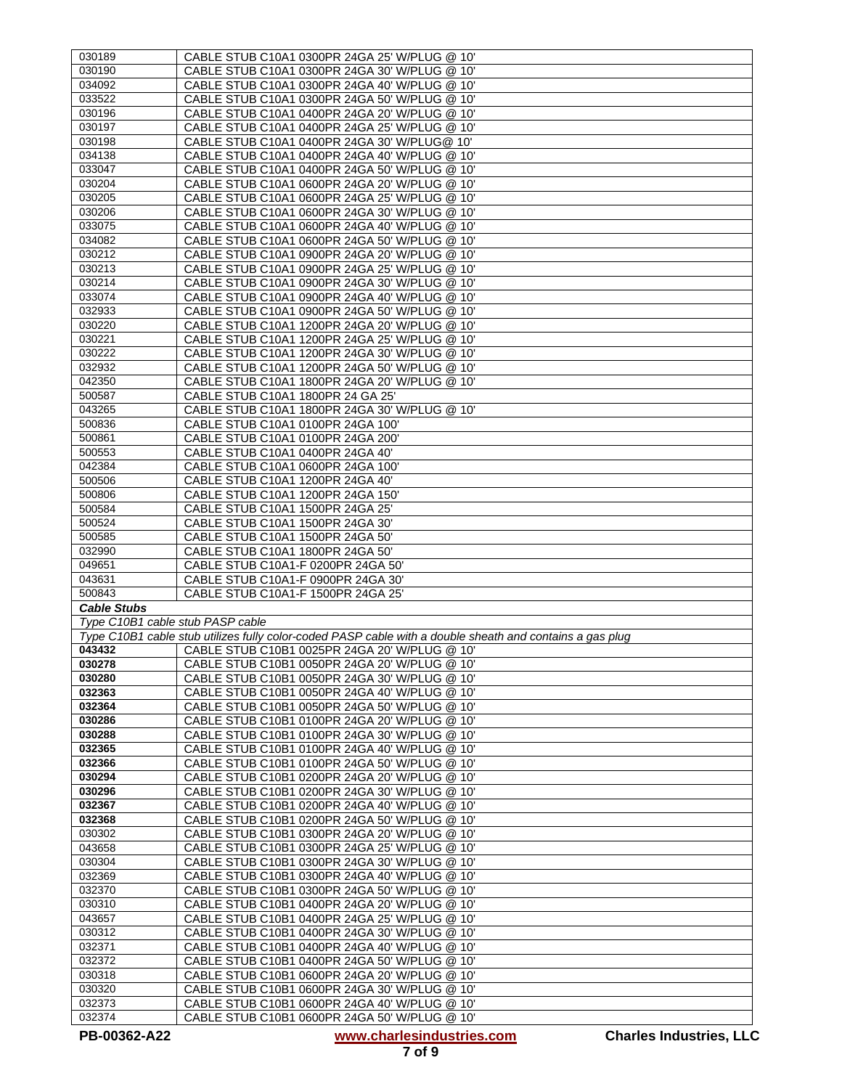|                                  | CABLE STUB C10A1 0300PR 24GA 25' W/PLUG @ 10'                                                            |
|----------------------------------|----------------------------------------------------------------------------------------------------------|
| 030190                           | CABLE STUB C10A1 0300PR 24GA 30' W/PLUG @ 10'                                                            |
| 034092                           | CABLE STUB C10A1 0300PR 24GA 40' W/PLUG @ 10'                                                            |
| 033522                           | CABLE STUB C10A1 0300PR 24GA 50' W/PLUG @ 10'                                                            |
| 030196                           | CABLE STUB C10A1 0400PR 24GA 20' W/PLUG @ 10'                                                            |
| 030197                           | CABLE STUB C10A1 0400PR 24GA 25' W/PLUG @ 10'                                                            |
| 030198                           | CABLE STUB C10A1 0400PR 24GA 30' W/PLUG@ 10'                                                             |
| 034138                           | CABLE STUB C10A1 0400PR 24GA 40' W/PLUG @ 10'                                                            |
| 033047                           | CABLE STUB C10A1 0400PR 24GA 50' W/PLUG @ 10'                                                            |
| 030204                           | CABLE STUB C10A1 0600PR 24GA 20' W/PLUG @ 10'                                                            |
| 030205                           | CABLE STUB C10A1 0600PR 24GA 25' W/PLUG @ 10'                                                            |
| 030206                           | CABLE STUB C10A1 0600PR 24GA 30' W/PLUG @ 10'                                                            |
| 033075                           | CABLE STUB C10A1 0600PR 24GA 40' W/PLUG @ 10'                                                            |
| 034082                           | CABLE STUB C10A1 0600PR 24GA 50' W/PLUG @ 10'                                                            |
| 030212                           | CABLE STUB C10A1 0900PR 24GA 20' W/PLUG @ 10'                                                            |
| 030213                           | CABLE STUB C10A1 0900PR 24GA 25' W/PLUG @ 10'                                                            |
| 030214                           | CABLE STUB C10A1 0900PR 24GA 30' W/PLUG @ 10'                                                            |
| 033074                           | CABLE STUB C10A1 0900PR 24GA 40' W/PLUG @ 10'                                                            |
| 032933                           | CABLE STUB C10A1 0900PR 24GA 50' W/PLUG @ 10'                                                            |
| 030220                           | CABLE STUB C10A1 1200PR 24GA 20' W/PLUG @ 10'                                                            |
| 030221                           | CABLE STUB C10A1 1200PR 24GA 25' W/PLUG @ 10'                                                            |
| 030222                           | CABLE STUB C10A1 1200PR 24GA 30' W/PLUG @ 10'                                                            |
| 032932                           | CABLE STUB C10A1 1200PR 24GA 50' W/PLUG @ 10'                                                            |
| 042350                           | CABLE STUB C10A1 1800PR 24GA 20' W/PLUG @ 10'                                                            |
| 500587                           | CABLE STUB C10A1 1800PR 24 GA 25'                                                                        |
| 043265                           |                                                                                                          |
| 500836                           | CABLE STUB C10A1 1800PR 24GA 30' W/PLUG @ 10'<br>CABLE STUB C10A1 0100PR 24GA 100'                       |
|                                  |                                                                                                          |
| 500861                           | CABLE STUB C10A1 0100PR 24GA 200'                                                                        |
| 500553                           | CABLE STUB C10A1 0400PR 24GA 40'                                                                         |
| 042384                           | CABLE STUB C10A1 0600PR 24GA 100                                                                         |
| 500506                           | CABLE STUB C10A1 1200PR 24GA 40'                                                                         |
| 500806                           | CABLE STUB C10A1 1200PR 24GA 150'                                                                        |
| 500584                           | CABLE STUB C10A1 1500PR 24GA 25'                                                                         |
| 500524                           | CABLE STUB C10A1 1500PR 24GA 30'                                                                         |
| 500585                           | CABLE STUB C10A1 1500PR 24GA 50'                                                                         |
| 032990                           | CABLE STUB C10A1 1800PR 24GA 50'                                                                         |
| 049651                           | CABLE STUB C10A1-F 0200PR 24GA 50'                                                                       |
| 043631                           | CABLE STUB C10A1-F 0900PR 24GA 30'                                                                       |
| 500843                           | CABLE STUB C10A1-F 1500PR 24GA 25'                                                                       |
| <b>Cable Stubs</b>               |                                                                                                          |
| Type C10B1 cable stub PASP cable | Type C10B1 cable stub utilizes fully color-coded PASP cable with a double sheath and contains a gas plug |
| 043432                           |                                                                                                          |
| 030278                           |                                                                                                          |
|                                  | CABLE STUB C10B1 0025PR 24GA 20' W/PLUG @ 10'                                                            |
|                                  | CABLE STUB C10B1 0050PR 24GA 20' W/PLUG @ 10'                                                            |
| 030280                           | CABLE STUB C10B1 0050PR 24GA 30' W/PLUG @ 10'                                                            |
| 032363                           | CABLE STUB C10B1 0050PR 24GA 40' W/PLUG @ 10'                                                            |
| 032364                           | CABLE STUB C10B1 0050PR 24GA 50' W/PLUG @ 10'                                                            |
| 030286                           | CABLE STUB C10B1 0100PR 24GA 20' W/PLUG @ 10'                                                            |
| 030288                           | CABLE STUB C10B1 0100PR 24GA 30' W/PLUG @ 10'                                                            |
| 032365                           | CABLE STUB C10B1 0100PR 24GA 40' W/PLUG @ 10'                                                            |
| 032366                           | CABLE STUB C10B1 0100PR 24GA 50' W/PLUG @ 10'                                                            |
| 030294                           | CABLE STUB C10B1 0200PR 24GA 20' W/PLUG @ 10'                                                            |
| 030296                           | CABLE STUB C10B1 0200PR 24GA 30' W/PLUG @ 10'                                                            |
| 032367                           | CABLE STUB C10B1 0200PR 24GA 40' W/PLUG @ 10'                                                            |
| 032368                           | CABLE STUB C10B1 0200PR 24GA 50' W/PLUG @ 10'                                                            |
| 030302                           | CABLE STUB C10B1 0300PR 24GA 20' W/PLUG @ 10'                                                            |
| 043658                           | CABLE STUB C10B1 0300PR 24GA 25' W/PLUG @ 10'                                                            |
| 030304                           | CABLE STUB C10B1 0300PR 24GA 30' W/PLUG @ 10'                                                            |
| 032369                           | CABLE STUB C10B1 0300PR 24GA 40' W/PLUG @ 10'                                                            |
| 032370                           | CABLE STUB C10B1 0300PR 24GA 50' W/PLUG @ 10'                                                            |
| 030310                           | CABLE STUB C10B1 0400PR 24GA 20' W/PLUG @ 10'                                                            |
| 043657                           | CABLE STUB C10B1 0400PR 24GA 25' W/PLUG @ 10'                                                            |
| 030312                           | CABLE STUB C10B1 0400PR 24GA 30' W/PLUG @ 10'                                                            |
| 032371                           | CABLE STUB C10B1 0400PR 24GA 40' W/PLUG @ 10'                                                            |
| 032372                           | CABLE STUB C10B1 0400PR 24GA 50' W/PLUG @ 10'                                                            |
| 030318                           | CABLE STUB C10B1 0600PR 24GA 20' W/PLUG @ 10'                                                            |
| 030320                           | CABLE STUB C10B1 0600PR 24GA 30' W/PLUG @ 10'                                                            |
| 032373<br>032374                 | CABLE STUB C10B1 0600PR 24GA 40' W/PLUG @ 10'<br>CABLE STUB C10B1 0600PR 24GA 50' W/PLUG @ 10'           |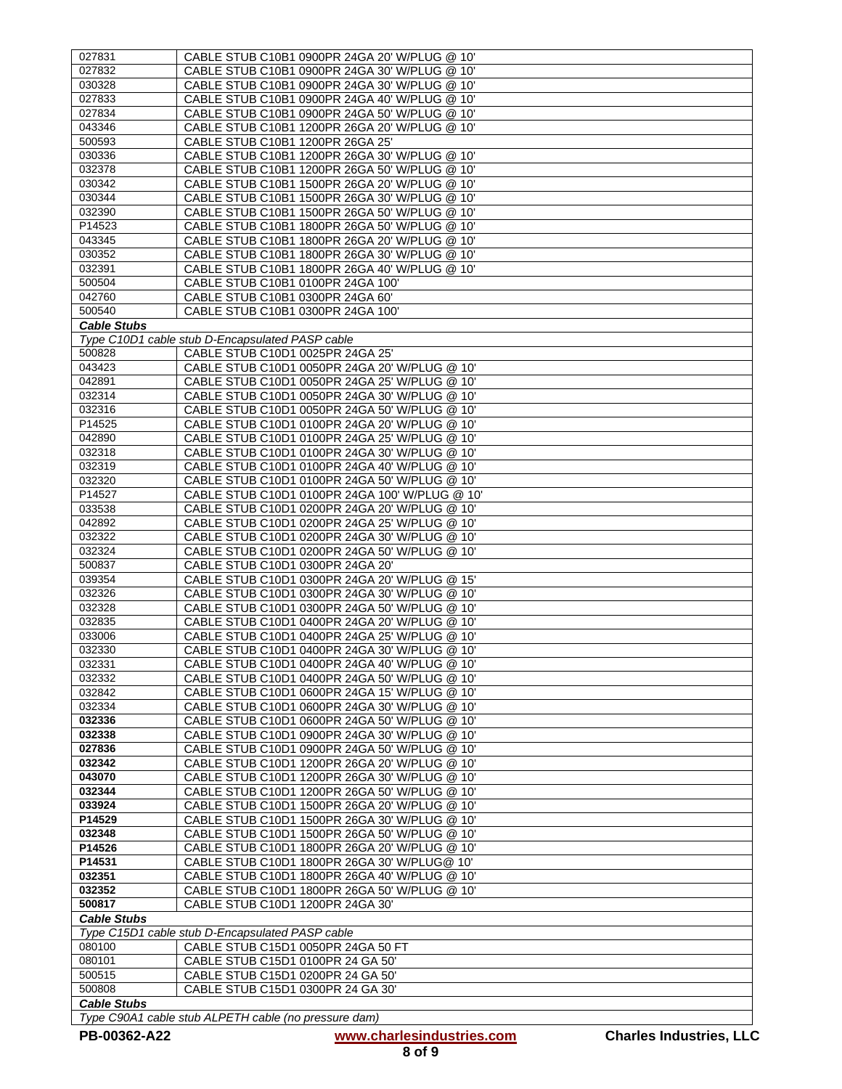| 027831                                          | CABLE STUB C10B1 0900PR 24GA 20' W/PLUG @ 10'        |  |
|-------------------------------------------------|------------------------------------------------------|--|
| 027832                                          | CABLE STUB C10B1 0900PR 24GA 30' W/PLUG @ 10'        |  |
| 030328                                          | CABLE STUB C10B1 0900PR 24GA 30' W/PLUG @ 10'        |  |
| 027833                                          | CABLE STUB C10B1 0900PR 24GA 40' W/PLUG @ 10'        |  |
| 027834                                          | CABLE STUB C10B1 0900PR 24GA 50' W/PLUG @ 10'        |  |
| 043346                                          | CABLE STUB C10B1 1200PR 26GA 20' W/PLUG @ 10'        |  |
| 500593                                          | CABLE STUB C10B1 1200PR 26GA 25'                     |  |
| 030336                                          | CABLE STUB C10B1 1200PR 26GA 30' W/PLUG @ 10'        |  |
| 032378                                          | CABLE STUB C10B1 1200PR 26GA 50' W/PLUG @ 10'        |  |
| 030342                                          | CABLE STUB C10B1 1500PR 26GA 20' W/PLUG @ 10'        |  |
| 030344                                          | CABLE STUB C10B1 1500PR 26GA 30' W/PLUG @ 10'        |  |
| 032390                                          | CABLE STUB C10B1 1500PR 26GA 50' W/PLUG @ 10'        |  |
| P14523                                          | CABLE STUB C10B1 1800PR 26GA 50' W/PLUG @ 10'        |  |
| 043345                                          | CABLE STUB C10B1 1800PR 26GA 20' W/PLUG @ 10'        |  |
| 030352                                          | CABLE STUB C10B1 1800PR 26GA 30' W/PLUG @ 10'        |  |
| 032391                                          | CABLE STUB C10B1 1800PR 26GA 40' W/PLUG @ 10'        |  |
| 500504                                          | CABLE STUB C10B1 0100PR 24GA 100'                    |  |
| 042760                                          | CABLE STUB C10B1 0300PR 24GA 60'                     |  |
| 500540                                          | CABLE STUB C10B1 0300PR 24GA 100'                    |  |
| <b>Cable Stubs</b>                              |                                                      |  |
|                                                 |                                                      |  |
|                                                 | Type C10D1 cable stub D-Encapsulated PASP cable      |  |
| 500828                                          | CABLE STUB C10D1 0025PR 24GA 25'                     |  |
| 043423                                          | CABLE STUB C10D1 0050PR 24GA 20' W/PLUG @ 10'        |  |
| 042891                                          | CABLE STUB C10D1 0050PR 24GA 25' W/PLUG @ 10'        |  |
| 032314                                          | CABLE STUB C10D1 0050PR 24GA 30' W/PLUG @ 10'        |  |
| 032316                                          | CABLE STUB C10D1 0050PR 24GA 50' W/PLUG @ 10'        |  |
| P14525                                          | CABLE STUB C10D1 0100PR 24GA 20' W/PLUG @ 10'        |  |
| 042890                                          | CABLE STUB C10D1 0100PR 24GA 25' W/PLUG @ 10'        |  |
| 032318                                          | CABLE STUB C10D1 0100PR 24GA 30' W/PLUG @ 10'        |  |
| 032319                                          | CABLE STUB C10D1 0100PR 24GA 40' W/PLUG @ 10'        |  |
| 032320                                          | CABLE STUB C10D1 0100PR 24GA 50' W/PLUG @ 10'        |  |
| P14527                                          | CABLE STUB C10D1 0100PR 24GA 100' W/PLUG @ 10'       |  |
| 033538                                          | CABLE STUB C10D1 0200PR 24GA 20' W/PLUG @ 10'        |  |
| 042892                                          | CABLE STUB C10D1 0200PR 24GA 25' W/PLUG @ 10'        |  |
| 032322                                          | CABLE STUB C10D1 0200PR 24GA 30' W/PLUG @ 10'        |  |
| 032324                                          | CABLE STUB C10D1 0200PR 24GA 50' W/PLUG @ 10'        |  |
| 500837                                          | CABLE STUB C10D1 0300PR 24GA 20'                     |  |
| 039354                                          | CABLE STUB C10D1 0300PR 24GA 20' W/PLUG @ 15'        |  |
| 032326                                          | CABLE STUB C10D1 0300PR 24GA 30' W/PLUG @ 10'        |  |
| 032328                                          | CABLE STUB C10D1 0300PR 24GA 50' W/PLUG @ 10'        |  |
| 032835                                          | CABLE STUB C10D1 0400PR 24GA 20' W/PLUG @ 10'        |  |
| 033006                                          | CABLE STUB C10D1 0400PR 24GA 25' W/PLUG @ 10'        |  |
| 032330                                          | CABLE STUB C10D1 0400PR 24GA 30' W/PLUG @ 10'        |  |
| 032331                                          | CABLE STUB C10D1 0400PR 24GA 40' W/PLUG @ 10'        |  |
| 032332                                          | CABLE STUB C10D1 0400PR 24GA 50' W/PLUG @ 10'        |  |
| 032842                                          | CABLE STUB C10D1 0600PR 24GA 15' W/PLUG @ 10'        |  |
| 032334                                          | CABLE STUB C10D1 0600PR 24GA 30' W/PLUG @ 10'        |  |
| 032336                                          | CABLE STUB C10D1 0600PR 24GA 50' W/PLUG @ 10'        |  |
| 032338                                          | CABLE STUB C10D1 0900PR 24GA 30' W/PLUG @ 10'        |  |
| 027836                                          | CABLE STUB C10D1 0900PR 24GA 50' W/PLUG @ 10'        |  |
| 032342                                          | CABLE STUB C10D1 1200PR 26GA 20' W/PLUG @ 10'        |  |
| 043070                                          | CABLE STUB C10D1 1200PR 26GA 30' W/PLUG @ 10'        |  |
| 032344                                          | CABLE STUB C10D1 1200PR 26GA 50' W/PLUG @ 10'        |  |
| 033924                                          | CABLE STUB C10D1 1500PR 26GA 20' W/PLUG @ 10'        |  |
| P14529                                          | CABLE STUB C10D1 1500PR 26GA 30' W/PLUG @ 10'        |  |
| 032348                                          | CABLE STUB C10D1 1500PR 26GA 50' W/PLUG @ 10'        |  |
| P14526                                          | CABLE STUB C10D1 1800PR 26GA 20' W/PLUG @ 10'        |  |
| P14531                                          | CABLE STUB C10D1 1800PR 26GA 30' W/PLUG@ 10'         |  |
| 032351                                          | CABLE STUB C10D1 1800PR 26GA 40' W/PLUG @ 10'        |  |
| 032352                                          | CABLE STUB C10D1 1800PR 26GA 50' W/PLUG @ 10'        |  |
| 500817                                          | CABLE STUB C10D1 1200PR 24GA 30'                     |  |
| <b>Cable Stubs</b>                              |                                                      |  |
| Type C15D1 cable stub D-Encapsulated PASP cable |                                                      |  |
|                                                 |                                                      |  |
|                                                 |                                                      |  |
| 080100                                          | CABLE STUB C15D1 0050PR 24GA 50 FT                   |  |
| 080101                                          | CABLE STUB C15D1 0100PR 24 GA 50'                    |  |
| 500515                                          | CABLE STUB C15D1 0200PR 24 GA 50'                    |  |
| 500808                                          | CABLE STUB C15D1 0300PR 24 GA 30'                    |  |
| <b>Cable Stubs</b>                              | Type C90A1 cable stub ALPETH cable (no pressure dam) |  |